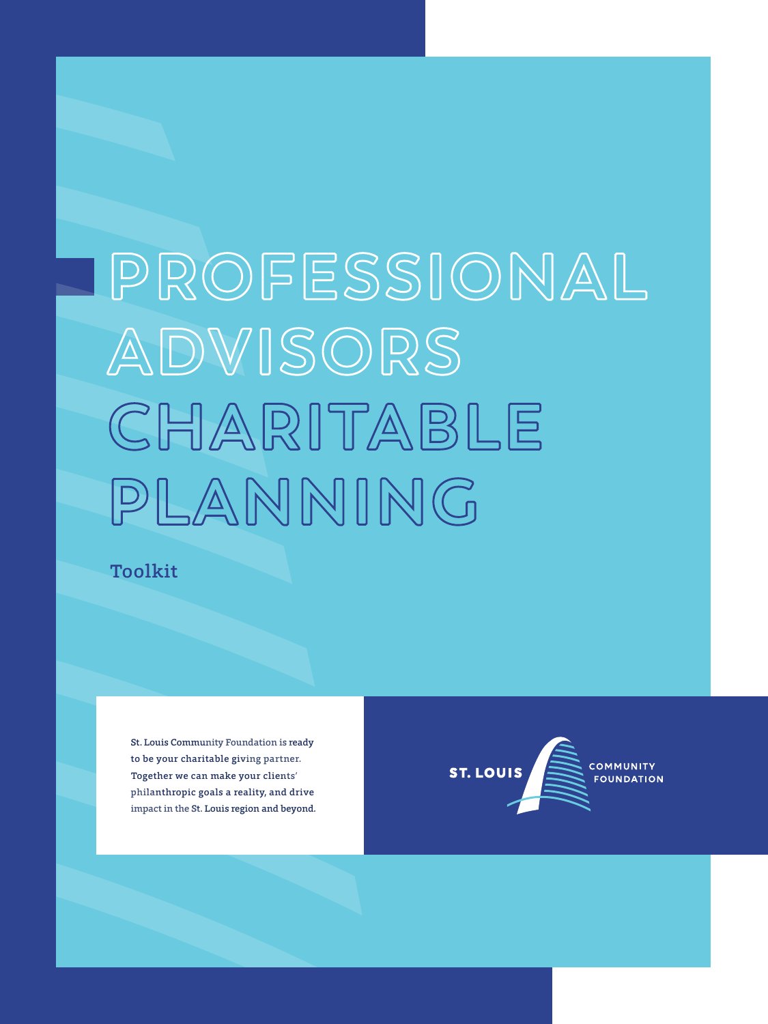# **P ROFESSIONAL ADVISORS CHARITABLE PLANNING**

Toolkit

St. Louis Community Foundation is ready to be your charitable giving partner. Together we can make your clients' philanthropic goals a reality, and drive impact in the St. Louis region and beyond.

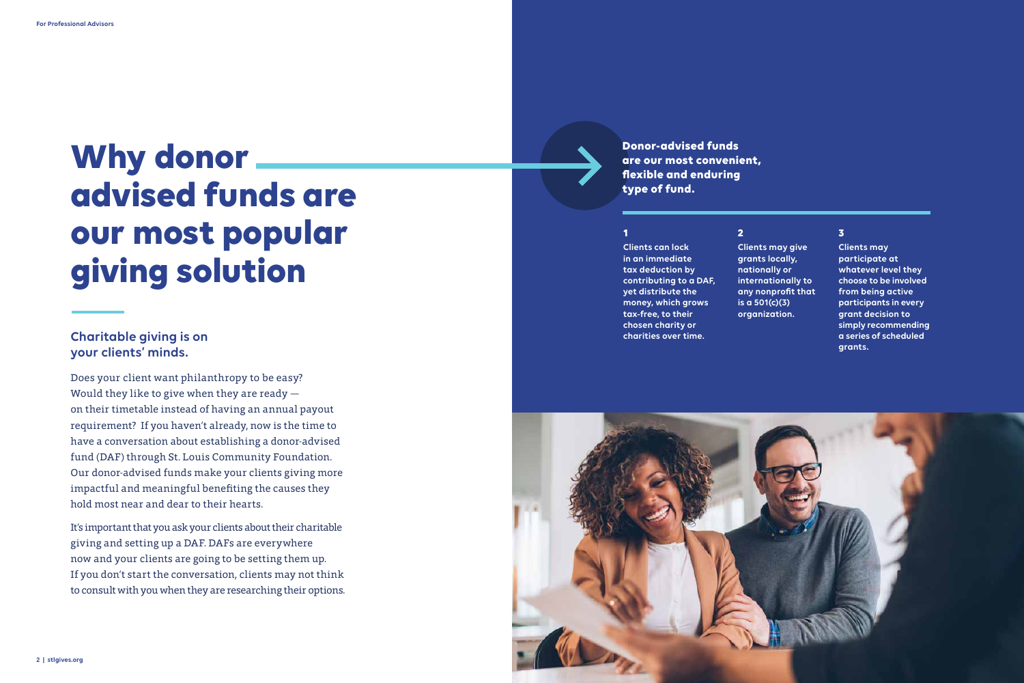Does your client want philanthropy to be easy? Would they like to give when they are ready on their timetable instead of having an annual payout requirement? If you haven't already, now is the time to have a conversation about establishing a donor-advised fund (DAF) through St. Louis Community Foundation. Our donor-advised funds make your clients giving more impactful and meaningful benefiting the causes they hold most near and dear to their hearts.

It's important that you ask your clients about their charitable giving and setting up a DAF. DAFs are everywhere now and your clients are going to be setting them up. If you don't start the conversation, clients may not think to consult with you when they are researching their options. **Clients can lock in an immediate tax deduction by contributing to a DAF, yet distribute the money, which grows tax-free, to their chosen charity or charities over time.**



**Clients may give grants locally, nationally or internationally to any nonprofit that is a 501(c)(3) organization.**

**Clients may participate at whatever level they choose to be involved from being active participants in every grant decision to simply recommending a series of scheduled grants.**

## **Charitable giving is on your clients' minds.**

**Donor-advised funds are our most convenient, flexible and enduring type of fund.** 

#### **1 2 3**

# **Why donor advised funds are our most popular giving solution**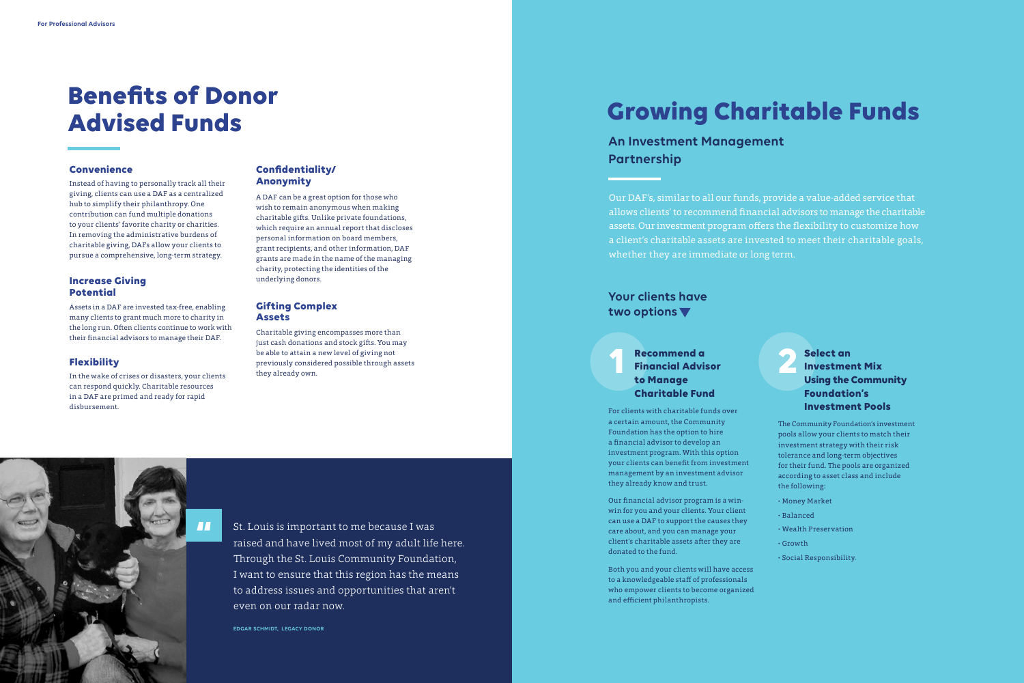## **Benefits of Donor Advised Funds**

**4 | stlgives.org**

Instead of having to personally track all their giving, clients can use a DAF as a centralized hub to simplify their philanthropy. One contribution can fund multiple donations to your clients' favorite charity or charities. In removing the administrative burdens of charitable giving, DAFs allow your clients to pursue a comprehensive, long-term strategy.

In the wake of crises or disasters, your clients can respond quickly. Charitable resources in a DAF are primed and ready for rapid disbursement.

Assets in a DAF are invested tax-free, enabling many clients to grant much more to charity in the long run. Often clients continue to work with their financial advisors to manage their DAF.

#### **Convenience**

#### **Flexibility**

#### **Increase Giving Potential**

A DAF can be a great option for those who wish to remain anonymous when making charitable gifts. Unlike private foundations, which require an annual report that discloses personal information on board members, grant recipients, and other information, DAF grants are made in the name of the managing charity, protecting the identities of the underlying donors.

#### **Confidentiality/ Anonymity**

Charitable giving encompasses more than just cash donations and stock gifts. You may be able to attain a new level of giving not previously considered possible through assets they already own.

#### **Gifting Complex Assets**

## **Growing Charitable Funds**

- 
- 
- 

### **12 Recommend a commend a larger de la partie de la partie de la partie de la partie de la partie de la partie de la partie de la partie de la partie de la partie de la partie de la partie de la partie de la partie de la p Financial Advisor to Manage Charitable Fund**

## **An Investment Management Partnership**

## **Your clients have two options**

Our DAF's, similar to all our funds, provide a value-added service that allows clients' to recommend financial advisors to manage the charitable assets. Our investment program offers the flexibility to customize how a client's charitable assets are invested to meet their charitable goals, whether they are immediate or long term.

For clients with charitable funds over a certain amount, the Community Foundation has the option to hire a financial advisor to develop an investment program. With this option your clients can benefit from investment management by an investment advisor they already know and trust.

Our financial advisor program is a winwin for you and your clients. Your client can use a DAF to support the causes they care about, and you can manage your client's charitable assets after they are donated to the fund.

Both you and your clients will have access to a knowledgeable staff of professionals who empower clients to become organized and efficient philanthropists.

The Community Foundation's investment pools allow your clients to match their investment strategy with their risk tolerance and long-term objectives for their fund. The pools are organized according to asset class and include the following:

- **·** Money Market
- **·** Balanced
- **·** Wealth Preservation
- **·** Growth
- **·** Social Responsibility.

#### **Select an Investment Mix Using the Community Foundation's Investment Pools**



even on our radar now.

**EDGAR SCHMIDT, LEGACY DONOR**

**"**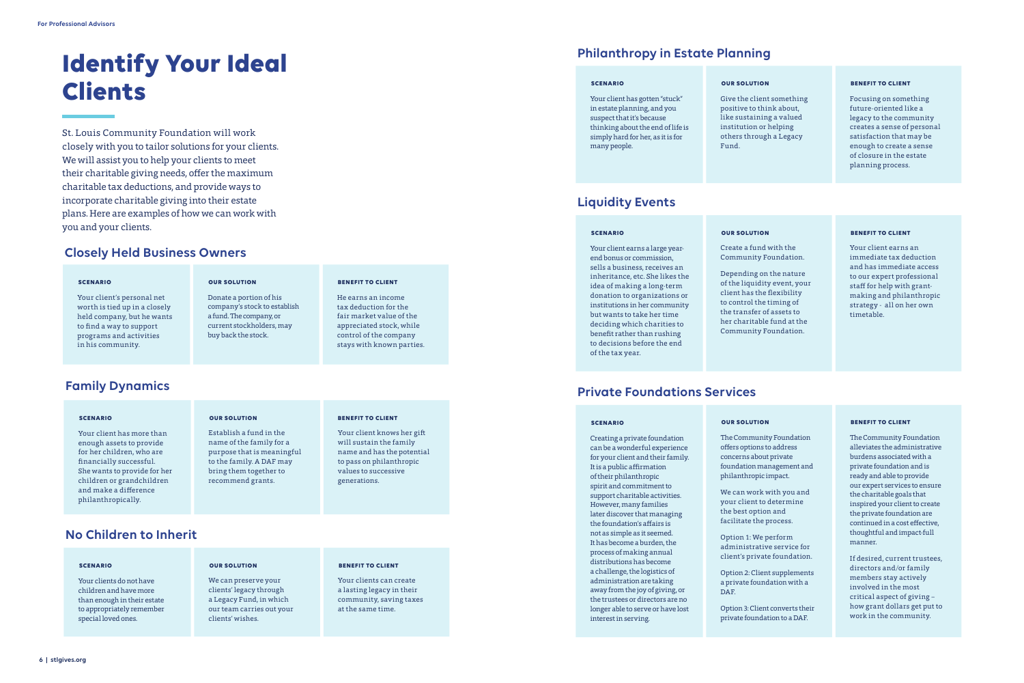## **Identify Your Ideal Clients**

St. Louis Community Foundation will work closely with you to tailor solutions for your clients. We will assist you to help your clients to meet their charitable giving needs, offer the maximum charitable tax deductions, and provide ways to incorporate charitable giving into their estate plans. Here are examples of how we can work with you and your clients.

### **Closely Held Business Owners**

## **Family Dynamics**

### **Philanthropy in Estate Planning**

### **Private Foundations Services**

Your client's personal net worth is tied up in a closely held company, but he wants to find a way to support programs and activities in his community.

Your client has more than enough assets to provide for her children, who are financially successful. She wants to provide for her children or grandchildren and make a difference philanthropically.

Your client has gotten "stuck" in estate planning, and you suspect that it's because thinking about the end of life is simply hard for her, as it is for many people.

Creating a private foundation can be a wonderful experience for your client and their family. It is a public affirmation of their philanthropic spirit and commitment to support charitable activities. However, many families later discover that managing the foundation's affairs is not as simple as it seemed. It has become a burden, the process of making annual distributions has become a challenge, the logistics of administration are taking away from the joy of giving, or the trustees or directors are no longer able to serve or have lost interest in serving.

Donate a portion of his company's stock to establish a fund. The company, or current stockholders, may buy back the stock.

Establish a fund in the name of the family for a

#### purpose that is meaningful

to the family. A DAF may bring them together to recommend grants.

Give the client something positive to think about, like sustaining a valued institution or helping others through a Legacy Fund.

The Community Foundation offers options to address concerns about private foundation management and philanthropic impact.

We can work with you and your client to determine the best option and facilitate the process.

Option 1: We perform administrative service for client's private foundation.

Option 2: Client supplements a private foundation with a DAF.

Option 3: Client converts their private foundation to a DAF.

He earns an income tax deduction for the fair market value of the appreciated stock, while control of the company stays with known parties.

Your client knows her gift will sustain the family name and has the potential to pass on philanthropic values to successive generations.

Focusing on something future-oriented like a legacy to the community creates a sense of personal satisfaction that may be enough to create a sense of closure in the estate planning process.

The Community Foundation alleviates the administrative burdens associated with a private foundation and is ready and able to provide our expert services to ensure the charitable goals that inspired your client to create the private foundation are continued in a cost effective, thoughtful and impact-full manner.

If desired, current trustees, directors and/or family members stay actively involved in the most critical aspect of giving – how grant dollars get put to work in the community.

#### **SCENARIO**

#### **SCENARIO**

#### **SCENARIO**

#### **SCENARIO**

**OUR SOLUTION**

**OUR SOLUTION**

#### **OUR SOLUTION**

#### **OUR SOLUTION**

**BENEFIT TO CLIENT**

#### **BENEFIT TO CLIENT**

### **Liquidity Events**

Your client earns a large yearend bonus or commission, sells a business, receives an inheritance, etc. She likes the idea of making a long-term donation to organizations or institutions in her community but wants to take her time deciding which charities to benefit rather than rushing to decisions before the end of the tax year.

Create a fund with the Community Foundation.

Depending on the nature of the liquidity event, your client has the flexibility to control the timing of the transfer of assets to her charitable fund at the Community Foundation.

Your client earns an immediate tax deduction and has immediate access to our expert professional staff for help with grantmaking and philanthropic strategy - all on her own timetable.

#### **SCENARIO OUR SOLUTION BENEFIT TO CLIENT**

#### **BENEFIT TO CLIENT**

### **No Children to Inherit**

Your clients do not have children and have more than enough in their estate to appropriately remember special loved ones.

We can preserve your clients' legacy through a Legacy Fund, in which our team carries out your

clients' wishes.

Your clients can create a lasting legacy in their community, saving taxes at the same time.

**SCENARIO OUR SOLUTION BENEFIT TO CLIENT**

#### **BENEFIT TO CLIENT**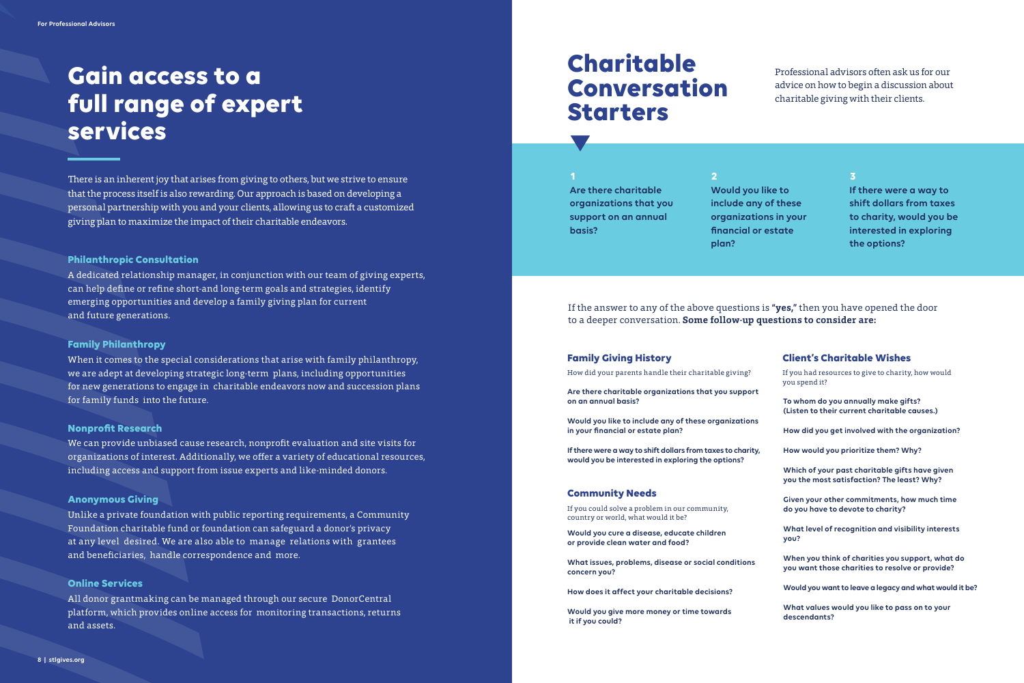

## **Charitable Conversation Starters**

Professional advisors often ask us for our advice on how to begin a discussion about charitable giving with their clients.

#### If the answer to any of the above questions is **"yes,"** then you have opened the door to a deeper conversation. **Some follow-up questions to consider are:**

**Are there charitable organizations that you support on an annual basis?**

**Would you like to include any of these organizations in your financial or estate plan?**

**If there were a way to shift dollars from taxes to charity, would you be interested in exploring the options?**

**Would you cure a disease, educate children or provide clean water and food?**

**What issues, problems, disease or social conditions concern you?**

**How does it affect your charitable decisions?**

**Would you give more money or time towards it if you could?**

## **To whom do you annually make gifts? (Listen to their current charitable causes.) How did you get involved with the organization? How would you prioritize them? Why? Which of your past charitable gifts have given you the most satisfaction? The least? Why? Given your other commitments, how much time do you have to devote to charity? What level of recognition and visibility interests you? When you think of charities you support, what do you want those charities to resolve or provide? Would you want to leave a legacy and what would it be? What values would you like to pass on to your descendants?** If you had resources to give to charity, how would you spend it? **Client's Charitable Wishes**

**Would you like to include any of these organizations in your financial or estate plan?**

**Are there charitable organizations that you support on an annual basis? 1 2 3**

**If there were a way to shift dollars from taxes to charity, would you be interested in exploring the options?**

How did your parents handle their charitable giving?

If you could solve a problem in our community, country or world, what would it be?

#### **Family Giving History**

#### **Community Needs**

## **Gain access to a full range of expert services**

There is an inherent joy that arises from giving to others, but we strive to ensure that the process itself is also rewarding. Our approach is based on developing a personal partnership with you and your clients, allowing us to craft a customized giving plan to maximize the impact of their charitable endeavors.

A dedicated relationship manager, in conjunction with our team of giving experts, can help define or refine short-and long-term goals and strategies, identify emerging opportunities and develop a family giving plan for current and future generations.

When it comes to the special considerations that arise with family philanthropy, we are adept at developing strategic long-term plans, including opportunities for new generations to engage in charitable endeavors now and succession plans for family funds into the future.

We can provide unbiased cause research, nonprofit evaluation and site visits for organizations of interest. Additionally, we offer a variety of educational resources, including access and support from issue experts and like-minded donors.

Unlike a private foundation with public reporting requirements, a Community Foundation charitable fund or foundation can safeguard a donor's privacy at any level desired. We are also able to manage relations with grantees and beneficiaries, handle correspondence and more.

All donor grantmaking can be managed through our secure DonorCentral platform, which provides online access for monitoring transactions, returns and assets.

#### **Philanthropic Consultation**

#### **Family Philanthropy**

#### **Nonprofit Research**

#### **Anonymous Giving**

#### **Online Services**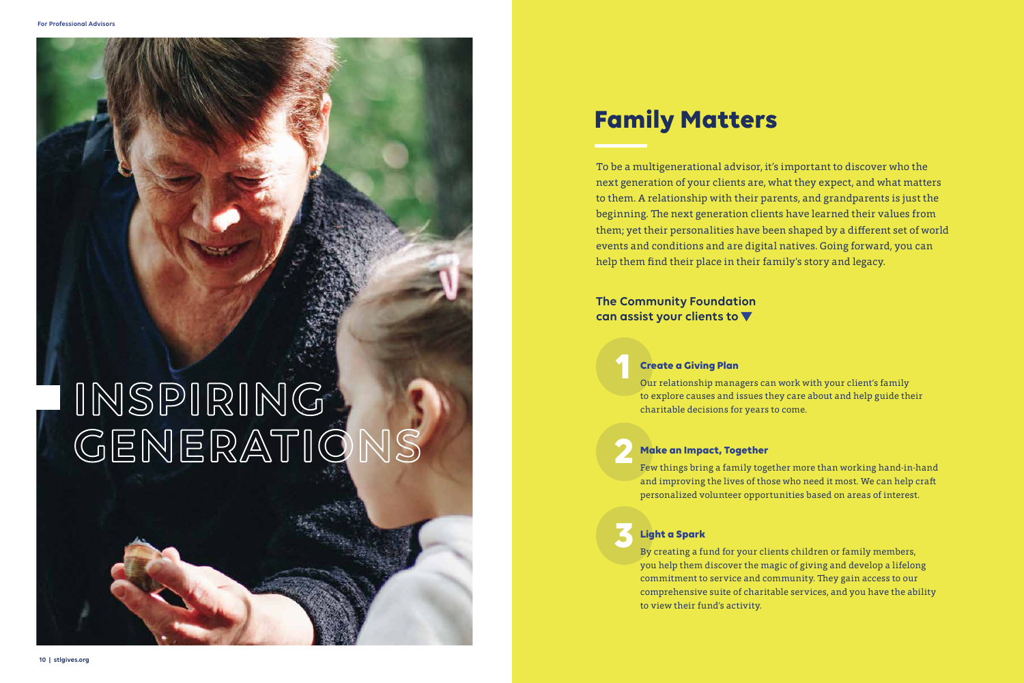To be a multigenerational advisor, it's important to discover who the next generation of your clients are, what they expect, and what matters to them. A relationship with their parents, and grandparents is just the beginning. The next generation clients have learned their values from them; yet their personalities have been shaped by a different set of world events and conditions and are digital natives. Going forward, you can help them find their place in their family's story and legacy.

## **Family Matters**

# **INSPIRING GENERATIONS**

**1**

**2**

# **3**

Our relationship managers can work with your client's family to explore causes and issues they care about and help guide their charitable decisions for years to come.

Few things bring a family together more than working hand-in-hand and improving the lives of those who need it most. We can help craft personalized volunteer opportunities based on areas of interest.

By creating a fund for your clients children or family members, you help them discover the magic of giving and develop a lifelong commitment to service and community. They gain access to our comprehensive suite of charitable services, and you have the ability to view their fund's activity.

## **Create a Giving Plan**

## **Make an Impact, Together**

## **Light a Spark**

**The Community Foundation can assist your clients to**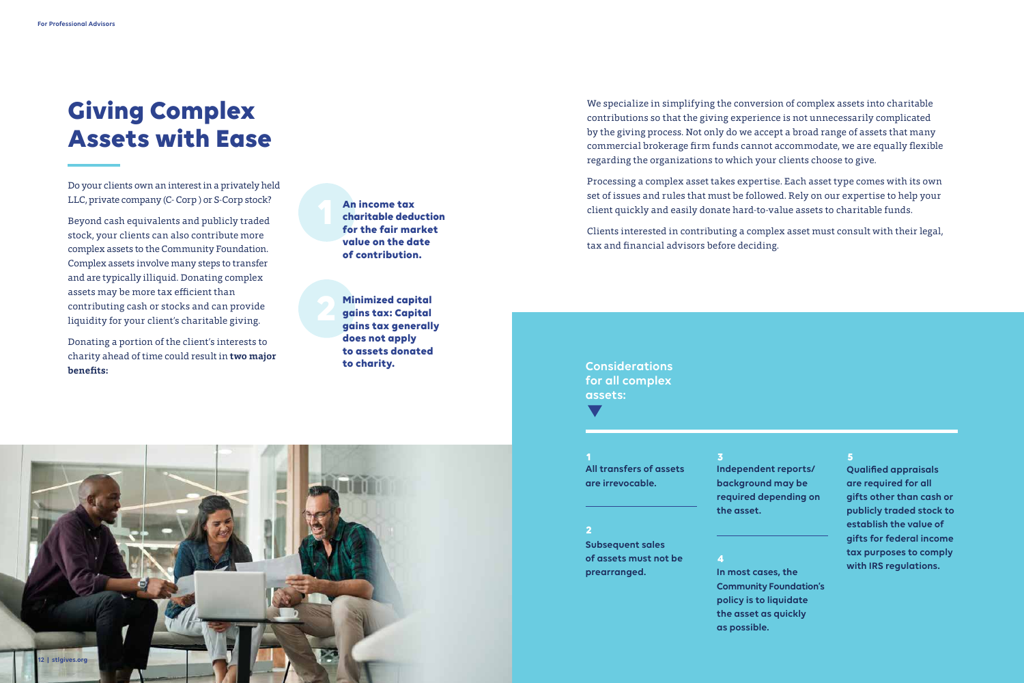## **Giving Complex Assets with Ease**



**An income tax charitable deduction for the fair market value on the date of contribution.**

**Minimized capital gains tax: Capital gains tax generally does not apply to assets donated to charity.**

Do your clients own an interest in a privately held LLC, private company (C- Corp ) or S-Corp stock?

Beyond cash equivalents and publicly traded stock, your clients can also contribute more complex assets to the Community Foundation. Complex assets involve many steps to transfer and are typically illiquid. Donating complex assets may be more tax efficient than contributing cash or stocks and can provide liquidity for your client's charitable giving.

Donating a portion of the client's interests to charity ahead of time could result in **two major benefits:**

We specialize in simplifying the conversion of complex assets into charitable contributions so that the giving experience is not unnecessarily complicated by the giving process. Not only do we accept a broad range of assets that many commercial brokerage firm funds cannot accommodate, we are equally flexible regarding the organizations to which your clients choose to give.

Processing a complex asset takes expertise. Each asset type comes with its own set of issues and rules that must be followed. Rely on our expertise to help your client quickly and easily donate hard-to-value assets to charitable funds.

Clients interested in contributing a complex asset must consult with their legal, tax and financial advisors before deciding.

**Subsequent sales of assets must not be prearranged.**

**Independent reports/ background may be required depending on the asset.**

**In most cases, the Community Foundation's policy is to liquidate the asset as quickly as possible.**

**All transfers of assets are irrevocable. 1 3 5**

**Qualified appraisals are required for all gifts other than cash or publicly traded stock to establish the value of gifts for federal income tax purposes to comply with IRS regulations.**

**Considerations for all complex assets:**

#### **2**

 $\blacksquare$ 

#### **4**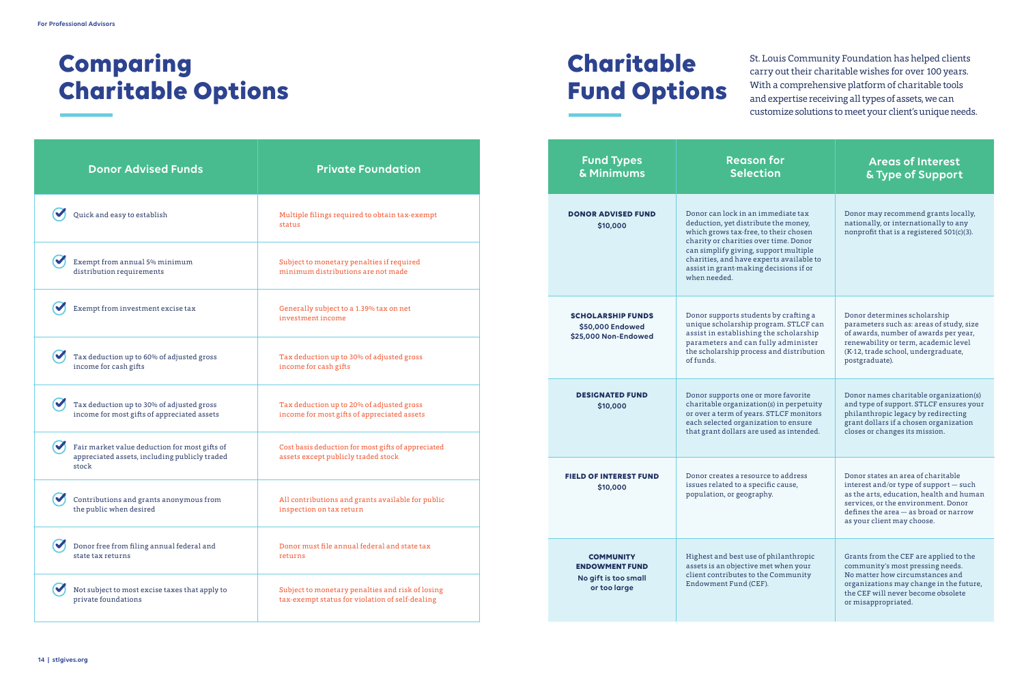## **Charitable Fund Options**



| <b>Donor Advised Funds</b>                                                                                             | <b>Private Foundation</b>                                                                           |  | <b>Fund Types</b><br>& Minimums                                                   | <b>Reason for</b><br><b>Selection</b>                                                                                                                                                                                                                                                                       | <b>Areas of Interest</b><br>& Type of Support                                                                                                                                                                         |
|------------------------------------------------------------------------------------------------------------------------|-----------------------------------------------------------------------------------------------------|--|-----------------------------------------------------------------------------------|-------------------------------------------------------------------------------------------------------------------------------------------------------------------------------------------------------------------------------------------------------------------------------------------------------------|-----------------------------------------------------------------------------------------------------------------------------------------------------------------------------------------------------------------------|
| $\boldsymbol{\mathsf{N}}$<br>Quick and easy to establish                                                               | Multiple filings required to obtain tax-exempt<br>status                                            |  | <b>DONOR ADVISED FUND</b><br>\$10,000                                             | Donor can lock in an immediate tax<br>deduction, yet distribute the money,<br>which grows tax-free, to their chosen<br>charity or charities over time. Donor<br>can simplify giving, support multiple<br>charities, and have experts available to<br>assist in grant-making decisions if or<br>when needed. | Donor may recommend grants locally,<br>nationally, or internationally to any<br>nonprofit that is a registered 501(c)(3).                                                                                             |
| $\blacktriangledown$<br>Exempt from annual 5% minimum<br>distribution requirements                                     | Subject to monetary penalties if required<br>minimum distributions are not made                     |  |                                                                                   |                                                                                                                                                                                                                                                                                                             |                                                                                                                                                                                                                       |
| $\sim$<br>Exempt from investment excise tax                                                                            | Generally subject to a 1.39% tax on net<br>investment income                                        |  | <b>SCHOLARSHIP FUNDS</b><br>\$50,000 Endowed<br>\$25,000 Non-Endowed              | Donor supports students by crafting a<br>unique scholarship program. STLCF can<br>assist in establishing the scholarship<br>parameters and can fully administer<br>the scholarship process and distribution<br>of funds.                                                                                    | Donor determines scholarship<br>parameters such as: areas of study, size<br>of awards, number of awards per year,<br>renewability or term, academic level<br>(K-12, trade school, undergraduate,<br>postgraduate).    |
| $\blacktriangledown$<br>Tax deduction up to 60% of adjusted gross<br>income for cash gifts                             | Tax deduction up to 30% of adjusted gross<br>income for cash gifts                                  |  |                                                                                   |                                                                                                                                                                                                                                                                                                             |                                                                                                                                                                                                                       |
| $\blacktriangledown$<br>Tax deduction up to 30% of adjusted gross<br>income for most gifts of appreciated assets       | Tax deduction up to 20% of adjusted gross<br>income for most gifts of appreciated assets            |  | <b>DESIGNATED FUND</b><br>\$10,000                                                | Donor supports one or more favorite<br>charitable organization(s) in perpetuity<br>or over a term of years. STLCF monitors<br>each selected organization to ensure<br>that grant dollars are used as intended.                                                                                              | Donor names charitable organization(s)<br>and type of support. STLCF ensures your<br>philanthropic legacy by redirecting<br>grant dollars if a chosen organization<br>closes or changes its mission.                  |
| $\blacktriangledown$<br>Fair market value deduction for most gifts of<br>appreciated assets, including publicly traded | Cost basis deduction for most gifts of appreciated<br>assets except publicly traded stock           |  | <b>FIELD OF INTEREST FUND</b><br>\$10,000                                         |                                                                                                                                                                                                                                                                                                             |                                                                                                                                                                                                                       |
| stock                                                                                                                  |                                                                                                     |  |                                                                                   | Donor creates a resource to address<br>issues related to a specific cause,                                                                                                                                                                                                                                  | Donor states an area of charitable<br>interest and/or type of support - such                                                                                                                                          |
| $\boldsymbol{C}$<br>Contributions and grants anonymous from<br>the public when desired                                 | All contributions and grants available for public<br>inspection on tax return                       |  |                                                                                   | population, or geography.                                                                                                                                                                                                                                                                                   | as the arts, education, health and human<br>services, or the environment. Donor<br>defines the area - as broad or narrow<br>as your client may choose.                                                                |
| Donor free from filing annual federal and<br>state tax returns                                                         | Donor must file annual federal and state tax<br>returns                                             |  | <b>COMMUNITY</b><br><b>ENDOWMENT FUND</b><br>No gift is too small<br>or too large | Highest and best use of philanthropic<br>assets is an objective met when your<br>client contributes to the Community<br>Endowment Fund (CEF).                                                                                                                                                               | Grants from the CEF are applied to the<br>community's most pressing needs.<br>No matter how circumstances and<br>organizations may change in the future,<br>the CEF will never become obsolete<br>or misappropriated. |
| $\boldsymbol{\mathsf{v}}$<br>Not subject to most excise taxes that apply to<br>private foundations                     | Subject to monetary penalties and risk of losing<br>tax-exempt status for violation of self-dealing |  |                                                                                   |                                                                                                                                                                                                                                                                                                             |                                                                                                                                                                                                                       |

## **Comparing Charitable Options**

St. Louis Community Foundation has helped clients carry out their charitable wishes for over 100 years. With a comprehensive platform of charitable tools and expertise receiving all types of assets, we can customize solutions to meet your client's unique needs.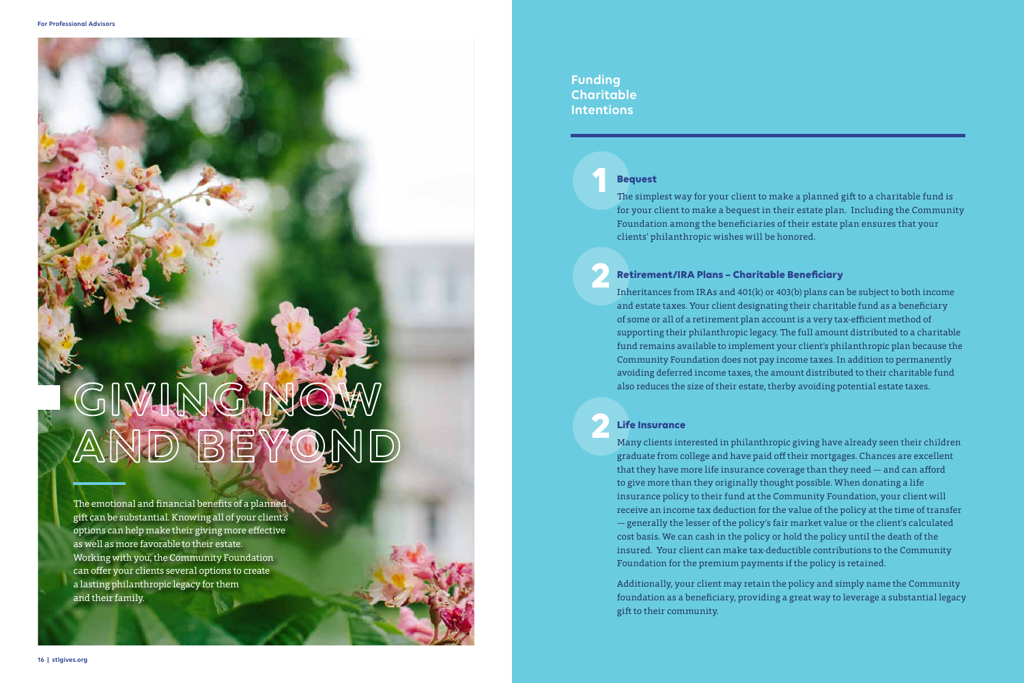# GIVING NOW **AND BEYOND**

The emotional and financial benefits of a planned gift can be substantial. Knowing all of your client's options can help make their giving more effective as well as more favorable to their estate. Working with you, the Community Foundation can offer your clients several options to create a lasting philanthropic legacy for them and their family.

### **Funding Charitable Intentions**

**1**

**2**

**2**

The simplest way for your client to make a planned gift to a charitable fund is for your client to make a bequest in their estate plan. Including the Community Foundation among the beneficiaries of their estate plan ensures that your clients' philanthropic wishes will be honored.

Inheritances from IRAs and 401(k) or 403(b) plans can be subject to both income and estate taxes. Your client designating their charitable fund as a beneficiary of some or all of a retirement plan account is a very tax-efficient method of supporting their philanthropic legacy. The full amount distributed to a charitable fund remains available to implement your client's philanthropic plan because the Community Foundation does not pay income taxes. In addition to permanently avoiding deferred income taxes, the amount distributed to their charitable fund also reduces the size of their estate, therby avoiding potential estate taxes.

Many clients interested in philanthropic giving have already seen their children graduate from college and have paid off their mortgages. Chances are excellent that they have more life insurance coverage than they need — and can afford to give more than they originally thought possible. When donating a life insurance policy to their fund at the Community Foundation, your client will receive an income tax deduction for the value of the policy at the time of transfer — generally the lesser of the policy's fair market value or the client's calculated cost basis. We can cash in the policy or hold the policy until the death of the insured. Your client can make tax-deductible contributions to the Community Foundation for the premium payments if the policy is retained.

Additionally, your client may retain the policy and simply name the Community foundation as a beneficiary, providing a great way to leverage a substantial legacy gift to their community.

### **Bequest**

#### **Retirement/IRA Plans – Charitable Beneficiary**

#### **Life Insurance**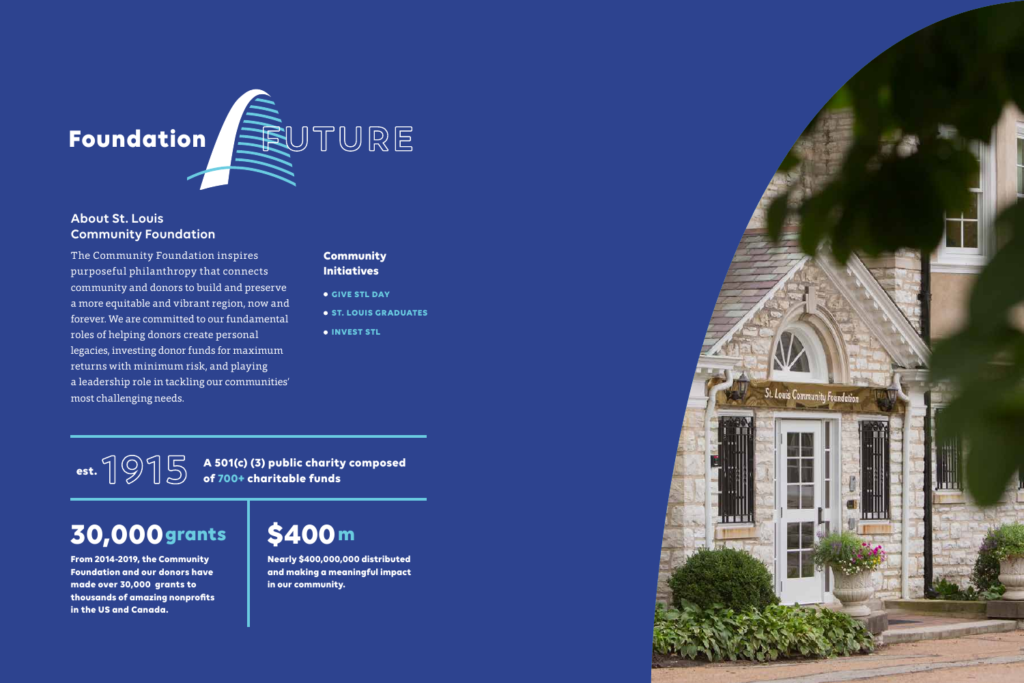

purposeful philanthropy that connects<br>
community and donors to build and prese The Community Foundation inspires community and donors to build and preserve a more equitable and vibrant region, now and forever. We are committed to our fundamental roles of helping donors create personal legacies, investing donor funds for maximum returns with minimum risk, and playing a leadership role in tackling our communities' most challenging needs.

- **GIVE STL DAY**
- $\bullet$  **ST. LOUIS GRADUATES**
- $\bullet$  **INVEST STL**

## **About St. Louis Community Foundation**

**est.**

**From 2014-2019, the Community Foundation and our donors have made over 30,000 grants to thousands of amazing nonprofits in the US and Canada.** 

**Nearly \$400,000,000 distributed and making a meaningful impact in our community.**



**A 501(c) (3) public charity composed 1915 of 700+ charitable funds**

## **30,000** grants \$400 m

### **Community Initiatives**